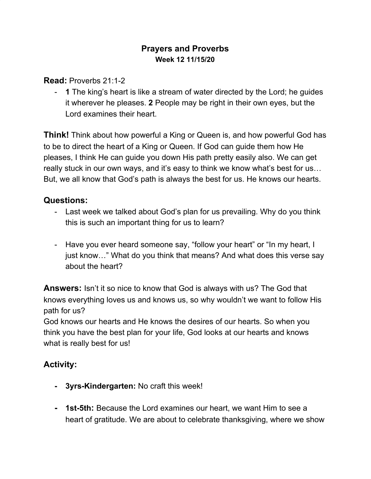## **Prayers and Proverbs Week 12 11/15/20**

**Read:** Proverbs 21:1-2

**1** The king's heart is like a stream of water directed by the Lord; he guides it wherever he pleases. **2** People may be right in their own eyes, but the Lord examines their heart.

**Think!** Think about how powerful a King or Queen is, and how powerful God has to be to direct the heart of a King or Queen. If God can guide them how He pleases, I think He can guide you down His path pretty easily also. We can get really stuck in our own ways, and it's easy to think we know what's best for us… But, we all know that God's path is always the best for us. He knows our hearts.

## **Questions:**

- Last week we talked about God's plan for us prevailing. Why do you think this is such an important thing for us to learn?
- Have you ever heard someone say, "follow your heart" or "In my heart, I just know…" What do you think that means? And what does this verse say about the heart?

**Answers:** Isn't it so nice to know that God is always with us? The God that knows everything loves us and knows us, so why wouldn't we want to follow His path for us?

God knows our hearts and He knows the desires of our hearts. So when you think you have the best plan for your life, God looks at our hearts and knows what is really best for us!

## **Activity:**

- **- 3yrs-Kindergarten:** No craft this week!
- **- 1st-5th:** Because the Lord examines our heart, we want Him to see a heart of gratitude. We are about to celebrate thanksgiving, where we show